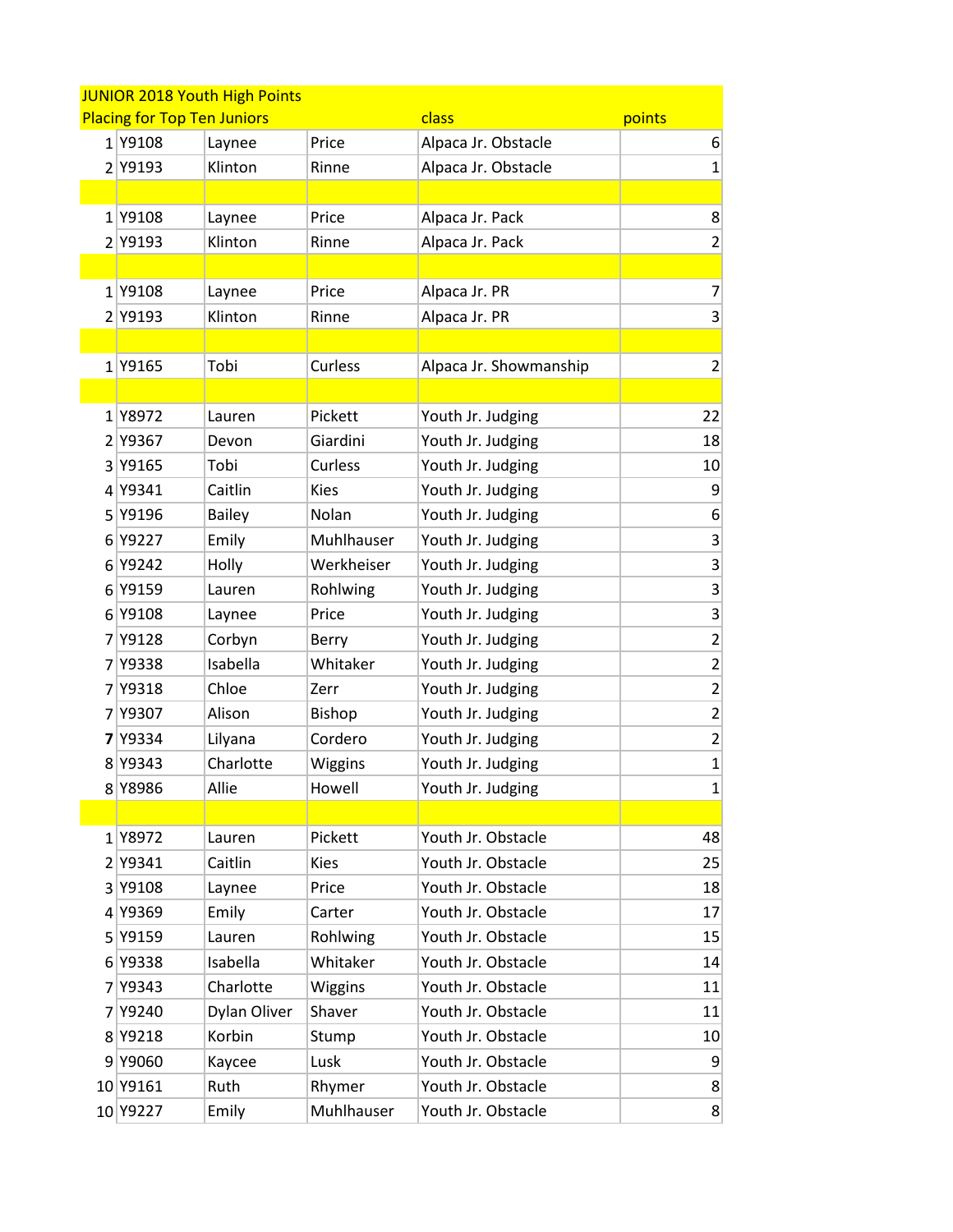|   | <b>JUNIOR 2018 Youth High Points</b>                  |               |               |                        |                         |  |  |  |
|---|-------------------------------------------------------|---------------|---------------|------------------------|-------------------------|--|--|--|
|   | <b>Placing for Top Ten Juniors</b><br>class<br>points |               |               |                        |                         |  |  |  |
|   | 1 Y9108                                               | Laynee        | Price         | Alpaca Jr. Obstacle    | 6                       |  |  |  |
| 2 | Y9193                                                 | Klinton       | Rinne         | Alpaca Jr. Obstacle    | $\mathbf{1}$            |  |  |  |
|   |                                                       |               |               |                        |                         |  |  |  |
|   | 1 Y9108                                               | Laynee        | Price         | Alpaca Jr. Pack        | 8                       |  |  |  |
|   | 2 Y9193                                               | Klinton       | Rinne         | Alpaca Jr. Pack        | $\overline{2}$          |  |  |  |
|   |                                                       |               |               |                        |                         |  |  |  |
|   | 1Y9108                                                | Laynee        | Price         | Alpaca Jr. PR          | 7                       |  |  |  |
|   | 2 Y9193                                               | Klinton       | Rinne         | Alpaca Jr. PR          | 3                       |  |  |  |
|   |                                                       |               |               |                        |                         |  |  |  |
|   | 1 Y9165                                               | Tobi          | Curless       | Alpaca Jr. Showmanship | $\overline{2}$          |  |  |  |
|   |                                                       |               |               |                        |                         |  |  |  |
|   | 1 Y8972                                               | Lauren        | Pickett       | Youth Jr. Judging      | 22                      |  |  |  |
|   | 2 Y9367                                               | Devon         | Giardini      | Youth Jr. Judging      | 18                      |  |  |  |
| 3 | Y9165                                                 | Tobi          | Curless       | Youth Jr. Judging      | 10                      |  |  |  |
|   | 4 Y9341                                               | Caitlin       | <b>Kies</b>   | Youth Jr. Judging      | 9                       |  |  |  |
|   | 5 Y9196                                               | <b>Bailey</b> | Nolan         | Youth Jr. Judging      | 6                       |  |  |  |
|   | 6 Y9227                                               | Emily         | Muhlhauser    | Youth Jr. Judging      | 3                       |  |  |  |
|   | 6 Y9242                                               | Holly         | Werkheiser    | Youth Jr. Judging      | 3                       |  |  |  |
|   | 6 Y9159                                               | Lauren        | Rohlwing      | Youth Jr. Judging      | 3                       |  |  |  |
|   | 6 Y9108                                               | Laynee        | Price         | Youth Jr. Judging      | 3                       |  |  |  |
| 7 | Y9128                                                 | Corbyn        | Berry         | Youth Jr. Judging      | $\overline{c}$          |  |  |  |
|   | 7 Y9338                                               | Isabella      | Whitaker      | Youth Jr. Judging      | $\overline{\mathbf{c}}$ |  |  |  |
|   | 7 Y9318                                               | Chloe         | Zerr          | Youth Jr. Judging      | $\overline{c}$          |  |  |  |
| 7 | Y9307                                                 | Alison        | <b>Bishop</b> | Youth Jr. Judging      | $\overline{c}$          |  |  |  |
|   | <b>7</b> Y9334                                        | Lilyana       | Cordero       | Youth Jr. Judging      | $\overline{\mathbf{c}}$ |  |  |  |
|   | 8 Y9343                                               | Charlotte     | Wiggins       | Youth Jr. Judging      | $\mathbf{1}$            |  |  |  |
|   | 8 Y8986                                               | Allie         | Howell        | Youth Jr. Judging      | $\mathbf{1}$            |  |  |  |
|   |                                                       |               |               |                        |                         |  |  |  |
|   | 1Y8972                                                | Lauren        | Pickett       | Youth Jr. Obstacle     | 48                      |  |  |  |
|   | 2 Y9341                                               | Caitlin       | <b>Kies</b>   | Youth Jr. Obstacle     | 25                      |  |  |  |
|   | 3 Y9108                                               | Laynee        | Price         | Youth Jr. Obstacle     | 18                      |  |  |  |
|   | 4 Y9369                                               | Emily         | Carter        | Youth Jr. Obstacle     | 17                      |  |  |  |
|   | 5 Y9159                                               | Lauren        | Rohlwing      | Youth Jr. Obstacle     | 15                      |  |  |  |
|   | 6 Y9338                                               | Isabella      | Whitaker      | Youth Jr. Obstacle     | 14                      |  |  |  |
|   | 7 Y9343                                               | Charlotte     | Wiggins       | Youth Jr. Obstacle     | 11                      |  |  |  |
|   | 7 Y9240                                               | Dylan Oliver  | Shaver        | Youth Jr. Obstacle     | 11                      |  |  |  |
|   | 8 Y9218                                               | Korbin        | Stump         | Youth Jr. Obstacle     | 10 <sup>1</sup>         |  |  |  |
|   | 9 Y9060                                               | Kaycee        | Lusk          | Youth Jr. Obstacle     | 9                       |  |  |  |
|   | 10 Y9161                                              | Ruth          | Rhymer        | Youth Jr. Obstacle     | 8                       |  |  |  |
|   | 10 Y9227                                              | Emily         | Muhlhauser    | Youth Jr. Obstacle     | 8 <sup>2</sup>          |  |  |  |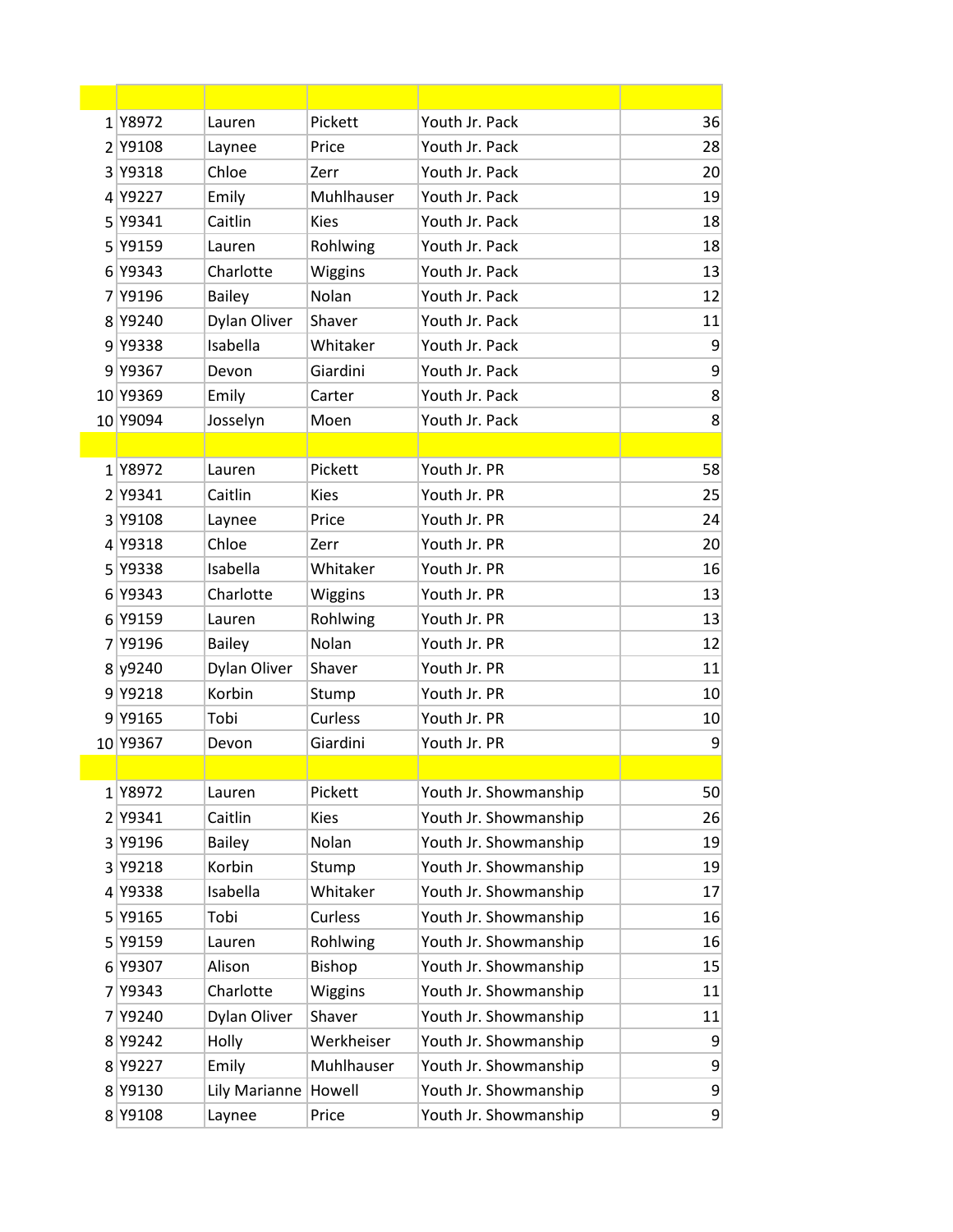| 1Y8972   | Lauren        | Pickett     | Youth Jr. Pack        | 36             |
|----------|---------------|-------------|-----------------------|----------------|
| 2 Y9108  | Laynee        | Price       | Youth Jr. Pack        | 28             |
| 3 Y9318  | Chloe         | Zerr        | Youth Jr. Pack        | 20             |
| 4 Y9227  | Emily         | Muhlhauser  | Youth Jr. Pack        | 19             |
| 5 Y9341  | Caitlin       | <b>Kies</b> | Youth Jr. Pack        | 18             |
| 5 Y9159  | Lauren        | Rohlwing    | Youth Jr. Pack        | 18             |
| 6 Y9343  | Charlotte     | Wiggins     | Youth Jr. Pack        | 13             |
| 7 Y9196  | <b>Bailey</b> | Nolan       | Youth Jr. Pack        | 12             |
| 8 Y9240  | Dylan Oliver  | Shaver      | Youth Jr. Pack        | 11             |
| 9 Y9338  | Isabella      | Whitaker    | Youth Jr. Pack        | 9              |
| 9 Y9367  | Devon         | Giardini    | Youth Jr. Pack        | 9              |
| 10 Y9369 | Emily         | Carter      | Youth Jr. Pack        | 8              |
| 10 Y9094 | Josselyn      | Moen        | Youth Jr. Pack        | 8              |
|          |               |             |                       |                |
| 1Y8972   | Lauren        | Pickett     | Youth Jr. PR          | 58             |
| 2 Y9341  | Caitlin       | <b>Kies</b> | Youth Jr. PR          | 25             |
| 3 Y9108  | Laynee        | Price       | Youth Jr. PR          | 24             |
| 4 Y9318  | Chloe         | Zerr        | Youth Jr. PR          | 20             |
| 5 Y9338  | Isabella      | Whitaker    | Youth Jr. PR          | 16             |
| 6 Y9343  | Charlotte     | Wiggins     | Youth Jr. PR          | 13             |
| 6 Y9159  | Lauren        | Rohlwing    | Youth Jr. PR          | 13             |
| 7 Y9196  | <b>Bailey</b> | Nolan       | Youth Jr. PR          | 12             |
| 8 y 9240 | Dylan Oliver  | Shaver      | Youth Jr. PR          | 11             |
| 9 Y9218  | Korbin        | Stump       | Youth Jr. PR          | 10             |
| 9 Y9165  | Tobi          | Curless     | Youth Jr. PR          | 10             |
| 10 Y9367 | Devon         | Giardini    | Youth Jr. PR          | 9              |
|          |               |             |                       |                |
| 1 Y8972  | Lauren        | Pickett     | Youth Jr. Showmanship | 50             |
| 2 Y9341  | Caitlin       | <b>Kies</b> | Youth Jr. Showmanship | 26             |
| 3 Y9196  | <b>Bailey</b> | Nolan       | Youth Jr. Showmanship | 19             |
| 3 Y9218  | Korbin        | Stump       | Youth Jr. Showmanship | 19             |
| 4 Y9338  | Isabella      | Whitaker    | Youth Jr. Showmanship | 17             |
| 5 Y9165  | Tobi          | Curless     | Youth Jr. Showmanship | 16             |
| 5 Y9159  | Lauren        | Rohlwing    | Youth Jr. Showmanship | 16             |
| 6 Y9307  | Alison        | Bishop      | Youth Jr. Showmanship | 15             |
| 7 Y9343  | Charlotte     | Wiggins     | Youth Jr. Showmanship | 11             |
| 7 Y9240  | Dylan Oliver  | Shaver      | Youth Jr. Showmanship | 11             |
| 8 Y9242  | Holly         | Werkheiser  | Youth Jr. Showmanship | 9              |
| 8 Y9227  | Emily         | Muhlhauser  | Youth Jr. Showmanship | 9              |
| 8 Y9130  | Lily Marianne | Howell      | Youth Jr. Showmanship | 9              |
| 8 Y9108  | Laynee        | Price       | Youth Jr. Showmanship | $\overline{9}$ |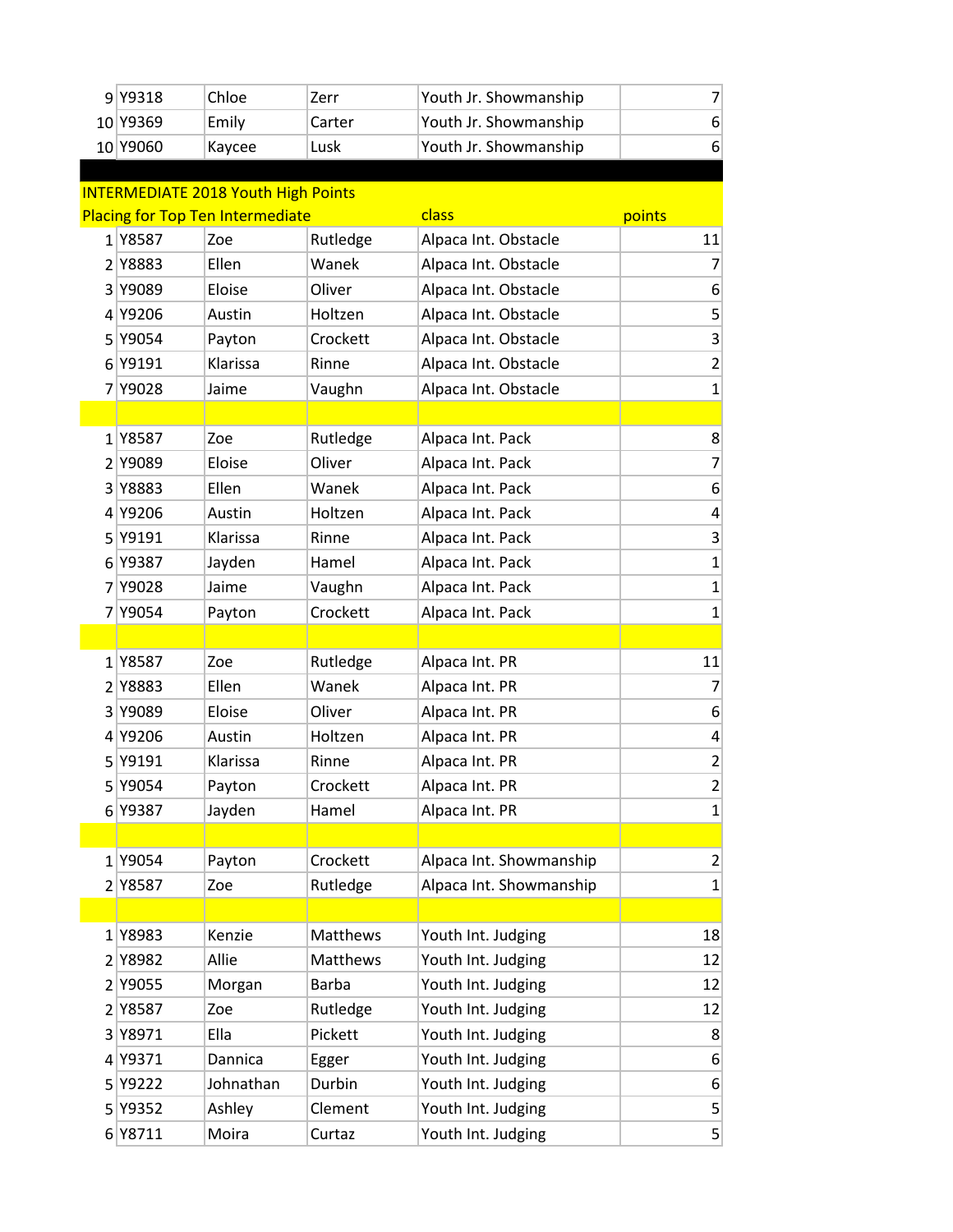| 9 Y9318  | Chloe  | Zerr   | Youth Jr. Showmanship |  |
|----------|--------|--------|-----------------------|--|
| 10 Y9369 | Emily  | Carter | Youth Jr. Showmanship |  |
| 10 Y9060 | Kaycee | Lusk   | Youth Jr. Showmanship |  |

| <b>INTERMEDIATE 2018 Youth High Points</b>                 |           |              |                         |                 |  |  |
|------------------------------------------------------------|-----------|--------------|-------------------------|-----------------|--|--|
| <b>Placing for Top Ten Intermediate</b><br>class<br>points |           |              |                         |                 |  |  |
| 1 Y8587                                                    | Zoe       | Rutledge     | Alpaca Int. Obstacle    | 11              |  |  |
| 2 Y8883                                                    | Ellen     | Wanek        | Alpaca Int. Obstacle    | 7 <sup>1</sup>  |  |  |
| 3 Y9089                                                    | Eloise    | Oliver       | Alpaca Int. Obstacle    | $6 \mid$        |  |  |
| 4 Y9206                                                    | Austin    | Holtzen      | Alpaca Int. Obstacle    | $\mathsf{S}$    |  |  |
| 5 Y9054                                                    | Payton    | Crockett     | Alpaca Int. Obstacle    | $\vert 3 \vert$ |  |  |
| 6 Y9191                                                    | Klarissa  | Rinne        | Alpaca Int. Obstacle    | $\mathbf{2}$    |  |  |
| 7 Y9028                                                    | Jaime     | Vaughn       | Alpaca Int. Obstacle    | $\mathbf 1$     |  |  |
|                                                            |           |              |                         |                 |  |  |
| 1Y8587                                                     | Zoe       | Rutledge     | Alpaca Int. Pack        | 8 <sup>1</sup>  |  |  |
| 2 Y9089                                                    | Eloise    | Oliver       | Alpaca Int. Pack        | $\overline{7}$  |  |  |
| 3 Y8883                                                    | Ellen     | Wanek        | Alpaca Int. Pack        | 6 <sup>1</sup>  |  |  |
| 4 Y9206                                                    | Austin    | Holtzen      | Alpaca Int. Pack        | $\vert 4 \vert$ |  |  |
| 5 Y9191                                                    | Klarissa  | Rinne        | Alpaca Int. Pack        | $\vert 3 \vert$ |  |  |
| 6 Y9387                                                    | Jayden    | Hamel        | Alpaca Int. Pack        | $\mathbf{1}$    |  |  |
| 7 Y9028                                                    | Jaime     | Vaughn       | Alpaca Int. Pack        | $\mathbf{1}$    |  |  |
| 7 Y9054                                                    | Payton    | Crockett     | Alpaca Int. Pack        | $\mathbf 1$     |  |  |
|                                                            |           |              |                         |                 |  |  |
| 1Y8587                                                     | Zoe       | Rutledge     | Alpaca Int. PR          | 11              |  |  |
| 2 Y8883                                                    | Ellen     | Wanek        | Alpaca Int. PR          | $\overline{7}$  |  |  |
| 3 Y9089                                                    | Eloise    | Oliver       | Alpaca Int. PR          | $6 \mid$        |  |  |
| 4 Y9206                                                    | Austin    | Holtzen      | Alpaca Int. PR          | $\vert 4 \vert$ |  |  |
| 5 Y9191                                                    | Klarissa  | Rinne        | Alpaca Int. PR          | $\overline{2}$  |  |  |
| 5 Y9054                                                    | Payton    | Crockett     | Alpaca Int. PR          | $\overline{2}$  |  |  |
| 6 Y9387                                                    | Jayden    | Hamel        | Alpaca Int. PR          | $\mathbf{1}$    |  |  |
|                                                            |           |              |                         |                 |  |  |
| 1Y9054                                                     | Payton    | Crockett     | Alpaca Int. Showmanship | $\mathbf{2}$    |  |  |
| 2 Y8587                                                    | Zoe       | Rutledge     | Alpaca Int. Showmanship | 1               |  |  |
|                                                            |           |              |                         |                 |  |  |
| 1 Y8983                                                    | Kenzie    | Matthews     | Youth Int. Judging      | 18              |  |  |
| 2 Y8982                                                    | Allie     | Matthews     | Youth Int. Judging      | 12              |  |  |
| 2 Y9055                                                    | Morgan    | <b>Barba</b> | Youth Int. Judging      | 12              |  |  |
| 2 Y8587                                                    | Zoe       | Rutledge     | Youth Int. Judging      | 12              |  |  |
| 3 Y8971                                                    | Ella      | Pickett      | Youth Int. Judging      | 8               |  |  |
| 4 Y9371                                                    | Dannica   | Egger        | Youth Int. Judging      | 6 <sup>1</sup>  |  |  |
| 5 Y9222                                                    | Johnathan | Durbin       | Youth Int. Judging      | $6 \mid$        |  |  |
| 5 Y9352                                                    | Ashley    | Clement      | Youth Int. Judging      | 5               |  |  |
| 6 Y8711                                                    | Moira     | Curtaz       | Youth Int. Judging      | $\mathbf{5}$    |  |  |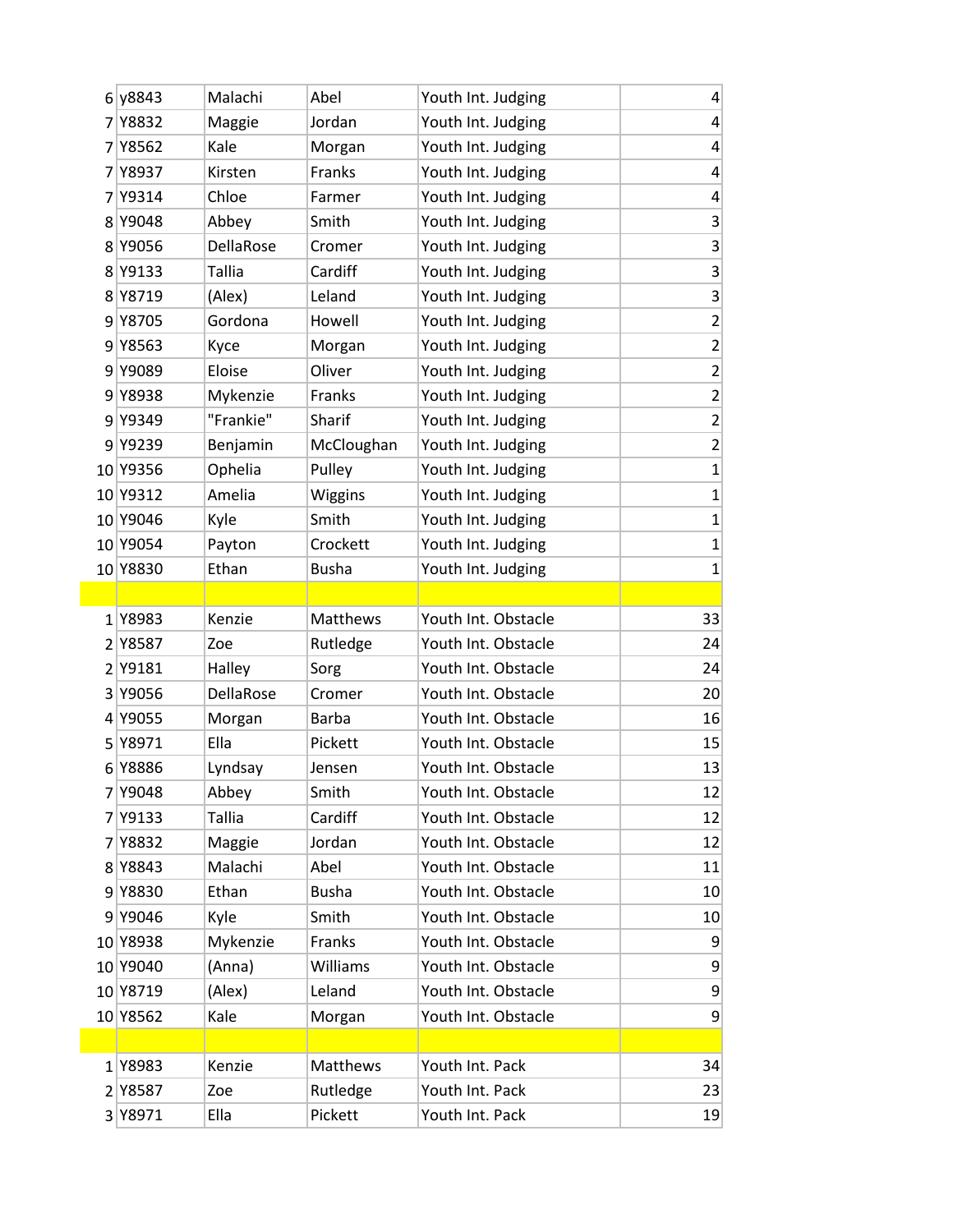|                | 6 y8843  | Malachi   | Abel         | Youth Int. Judging  | 4                       |
|----------------|----------|-----------|--------------|---------------------|-------------------------|
|                | 7 Y8832  | Maggie    | Jordan       | Youth Int. Judging  | 4                       |
|                | 7 Y 8562 | Kale      | Morgan       | Youth Int. Judging  | 4                       |
|                | 7 Y8937  | Kirsten   | Franks       | Youth Int. Judging  | $\overline{a}$          |
|                | 7 Y9314  | Chloe     | Farmer       | Youth Int. Judging  | 4                       |
|                | 8 Y9048  | Abbey     | Smith        | Youth Int. Judging  | $\mathsf 3$             |
|                | 8 Y9056  | DellaRose | Cromer       | Youth Int. Judging  | $\overline{\mathbf{3}}$ |
|                | 8 Y9133  | Tallia    | Cardiff      | Youth Int. Judging  | $\mathsf 3$             |
|                | 8 Y8719  | (Alex)    | Leland       | Youth Int. Judging  | 3                       |
| 9              | Y8705    | Gordona   | Howell       | Youth Int. Judging  | $\overline{\mathbf{c}}$ |
|                | 9 Y8563  | Kyce      | Morgan       | Youth Int. Judging  | $\overline{2}$          |
| 9              | Y9089    | Eloise    | Oliver       | Youth Int. Judging  | $\mathbf 2$             |
|                | 9 Y8938  | Mykenzie  | Franks       | Youth Int. Judging  | $\overline{\mathbf{c}}$ |
|                | 9 Y9349  | "Frankie" | Sharif       | Youth Int. Judging  | $\mathbf 2$             |
|                | 9 Y9239  | Benjamin  | McCloughan   | Youth Int. Judging  | $\overline{c}$          |
|                | 10 Y9356 | Ophelia   | Pulley       | Youth Int. Judging  | $\mathbf{1}$            |
|                | 10 Y9312 | Amelia    | Wiggins      | Youth Int. Judging  | $\mathbf 1$             |
|                | 10 Y9046 | Kyle      | Smith        | Youth Int. Judging  | $\mathbf 1$             |
|                | 10 Y9054 | Payton    | Crockett     | Youth Int. Judging  | $\mathbf{1}$            |
|                | 10 Y8830 | Ethan     | <b>Busha</b> | Youth Int. Judging  | $\mathbf 1$             |
|                |          |           |              |                     |                         |
|                | 1 Y8983  | Kenzie    | Matthews     | Youth Int. Obstacle | 33                      |
|                | 2 Y8587  | Zoe       | Rutledge     | Youth Int. Obstacle | 24                      |
| 2 <sup>1</sup> | Y9181    | Halley    | Sorg         | Youth Int. Obstacle | 24                      |
| 3              | Y9056    | DellaRose | Cromer       | Youth Int. Obstacle | 20                      |
|                | 4 Y9055  | Morgan    | <b>Barba</b> | Youth Int. Obstacle | 16                      |
| 5 <sup>1</sup> | Y8971    | Ella      | Pickett      | Youth Int. Obstacle | 15                      |
|                | 6 Y8886  | Lyndsay   | Jensen       | Youth Int. Obstacle | 13                      |
|                | 7 Y9048  | Abbey     | Smith        | Youth Int. Obstacle | 12                      |
|                | 7 Y9133  | Tallia    | Cardiff      | Youth Int. Obstacle | 12                      |
|                | 7 Y 8832 | Maggie    | Jordan       | Youth Int. Obstacle | 12                      |
|                | 8 Y8843  | Malachi   | Abel         | Youth Int. Obstacle | 11                      |
|                | 9 Y8830  | Ethan     | <b>Busha</b> | Youth Int. Obstacle | 10                      |
|                | 9 Y9046  | Kyle      | Smith        | Youth Int. Obstacle | 10                      |
|                | 10 Y8938 | Mykenzie  | Franks       | Youth Int. Obstacle | 9                       |
|                | 10 Y9040 | (Anna)    | Williams     | Youth Int. Obstacle | 9                       |
|                | 10 Y8719 | (Alex)    | Leland       | Youth Int. Obstacle | 9                       |
|                | 10 Y8562 | Kale      | Morgan       | Youth Int. Obstacle | 9                       |
|                |          |           |              |                     |                         |
|                | 1Y8983   | Kenzie    | Matthews     | Youth Int. Pack     | 34                      |
|                | 2 Y8587  | Zoe       | Rutledge     | Youth Int. Pack     | 23                      |
|                | 3 Y8971  | Ella      | Pickett      | Youth Int. Pack     | 19                      |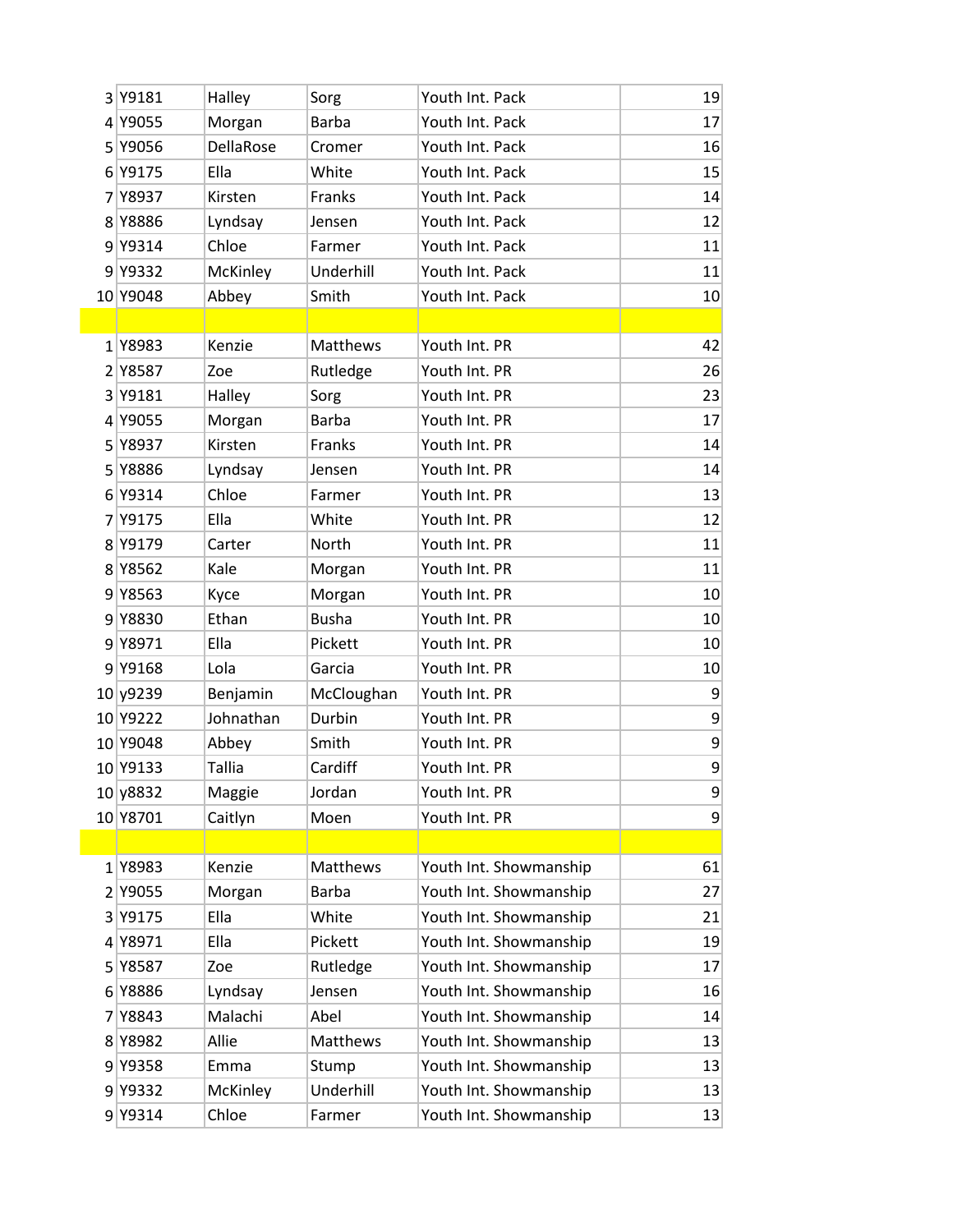| 3 Y9181     | Halley        | Sorg         | Youth Int. Pack        | 19             |
|-------------|---------------|--------------|------------------------|----------------|
| 4 Y9055     | Morgan        | <b>Barba</b> | Youth Int. Pack        | 17             |
| 5 Y9056     | DellaRose     | Cromer       | Youth Int. Pack        | 16             |
| 6 Y9175     | Ella          | White        | Youth Int. Pack        | 15             |
| 7 Y8937     | Kirsten       | Franks       | Youth Int. Pack        | 14             |
| 8 Y8886     | Lyndsay       | Jensen       | Youth Int. Pack        | 12             |
| 9 Y9314     | Chloe         | Farmer       | Youth Int. Pack        | 11             |
| 9 Y9332     | McKinley      | Underhill    | Youth Int. Pack        | 11             |
| 10 Y9048    | Abbey         | Smith        | Youth Int. Pack        | 10             |
|             |               |              |                        |                |
| 1Y8983      | Kenzie        | Matthews     | Youth Int. PR          | 42             |
| 2 Y8587     | Zoe           | Rutledge     | Youth Int. PR          | 26             |
| 3 Y9181     | Halley        | Sorg         | Youth Int. PR          | 23             |
| 4 Y9055     | Morgan        | <b>Barba</b> | Youth Int. PR          | 17             |
| 5 Y8937     | Kirsten       | Franks       | Youth Int. PR          | 14             |
| 5 Y8886     | Lyndsay       | Jensen       | Youth Int. PR          | 14             |
| 6 Y9314     | Chloe         | Farmer       | Youth Int. PR          | 13             |
| 7 Y9175     | Ella          | White        | Youth Int. PR          | 12             |
| 8 Y9179     | Carter        | North        | Youth Int. PR          | 11             |
| 8 Y 8 5 6 2 | Kale          | Morgan       | Youth Int. PR          | 11             |
| 9 Y8563     | Kyce          | Morgan       | Youth Int. PR          | 10             |
| 9 Y8830     | Ethan         | <b>Busha</b> | Youth Int. PR          | 10             |
| 9 Y8971     | Ella          | Pickett      | Youth Int. PR          | 10             |
| 9 Y9168     | Lola          | Garcia       | Youth Int. PR          | 10             |
| 10 y9239    | Benjamin      | McCloughan   | Youth Int. PR          | 9              |
| 10 Y9222    | Johnathan     | Durbin       | Youth Int. PR          | 9              |
| 10 Y9048    | Abbey         | Smith        | Youth Int. PR          | 9              |
| 10 Y9133    | <b>Tallia</b> | Cardiff      | Youth Int. PR          | 9              |
| 10 y 8832   | Maggie        | Jordan       | Youth Int. PR          | $\overline{9}$ |
| 10 Y8701    | Caitlyn       | Moen         | Youth Int. PR          | 9              |
|             |               |              |                        |                |
| 1Y8983      | Kenzie        | Matthews     | Youth Int. Showmanship | 61             |
| 2 Y9055     | Morgan        | <b>Barba</b> | Youth Int. Showmanship | 27             |
| 3 Y9175     | Ella          | White        | Youth Int. Showmanship | 21             |
| 4 Y8971     | Ella          | Pickett      | Youth Int. Showmanship | 19             |
| 5 Y8587     | Zoe           | Rutledge     | Youth Int. Showmanship | 17             |
| 6 Y8886     | Lyndsay       | Jensen       | Youth Int. Showmanship | 16             |
| 7 Y 8843    | Malachi       | Abel         | Youth Int. Showmanship | 14             |
| 8 Y 8982    | Allie         | Matthews     | Youth Int. Showmanship | 13             |
| 9 Y9358     | Emma          | Stump        | Youth Int. Showmanship | 13             |
| 9 Y9332     | McKinley      | Underhill    | Youth Int. Showmanship | 13             |
| 9 Y9314     | Chloe         | Farmer       | Youth Int. Showmanship | 13             |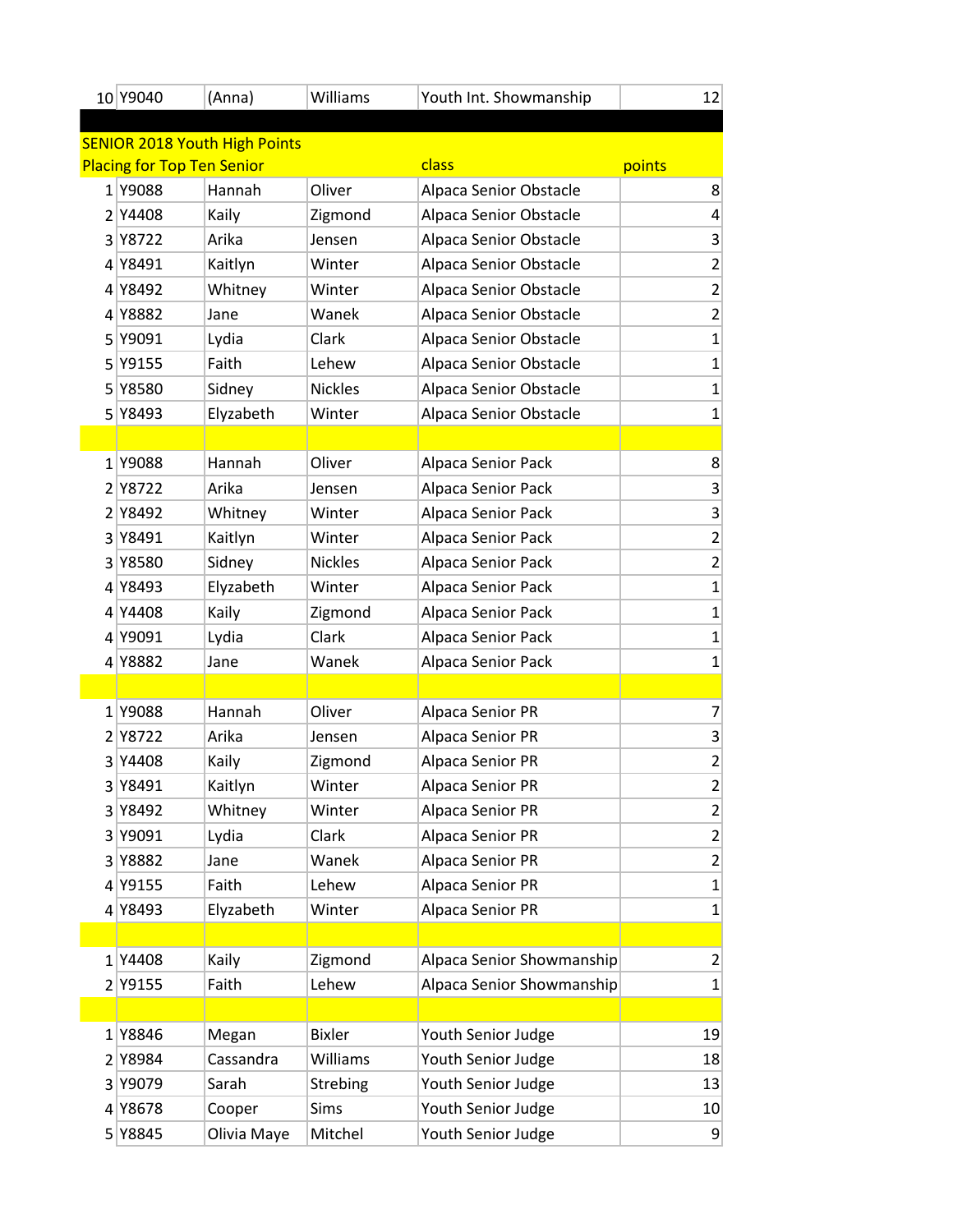| 10 Y9040                          | (Anna)                               | Williams        | Youth Int. Showmanship    | 12             |
|-----------------------------------|--------------------------------------|-----------------|---------------------------|----------------|
|                                   |                                      |                 |                           |                |
|                                   | <b>SENIOR 2018 Youth High Points</b> |                 |                           |                |
| <b>Placing for Top Ten Senior</b> |                                      |                 | class                     | points         |
| 1 Y9088                           | Hannah                               | Oliver          | Alpaca Senior Obstacle    | 8              |
| 2 Y4408                           | Kaily                                | Zigmond         | Alpaca Senior Obstacle    | 4              |
| 3 Y8722                           | Arika                                | Jensen          | Alpaca Senior Obstacle    | 3              |
| 4 Y8491                           | Kaitlyn                              | Winter          | Alpaca Senior Obstacle    | $\overline{2}$ |
| 4 Y8492                           | Whitney                              | Winter          | Alpaca Senior Obstacle    | $\overline{2}$ |
| 4 Y8882                           | Jane                                 | Wanek           | Alpaca Senior Obstacle    | $\overline{2}$ |
| 5 Y9091                           | Lydia                                | Clark           | Alpaca Senior Obstacle    | $\mathbf{1}$   |
| 5 Y9155                           | Faith                                | Lehew           | Alpaca Senior Obstacle    | $\mathbf{1}$   |
| 5 Y8580                           | Sidney                               | <b>Nickles</b>  | Alpaca Senior Obstacle    | $\mathbf{1}$   |
| 5 Y8493                           | Elyzabeth                            | Winter          | Alpaca Senior Obstacle    | $\mathbf{1}$   |
|                                   |                                      |                 |                           |                |
| 1 Y9088                           | Hannah                               | Oliver          | Alpaca Senior Pack        | 8              |
| 2 Y 8722                          | Arika                                | Jensen          | Alpaca Senior Pack        | 3              |
| 2 Y8492                           | Whitney                              | Winter          | Alpaca Senior Pack        | 3              |
| 3 Y 8491                          | Kaitlyn                              | Winter          | Alpaca Senior Pack        | $\overline{2}$ |
| 3 Y 8580                          | Sidney                               | <b>Nickles</b>  | Alpaca Senior Pack        | $\overline{2}$ |
| 4 Y8493                           | Elyzabeth                            | Winter          | Alpaca Senior Pack        | $\mathbf{1}$   |
| 4 Y4408                           | Kaily                                | Zigmond         | Alpaca Senior Pack        | $\mathbf{1}$   |
| 4 Y9091                           | Lydia                                | Clark           | Alpaca Senior Pack        | $\mathbf{1}$   |
| 4 Y8882                           | Jane                                 | Wanek           | Alpaca Senior Pack        | $\mathbf{1}$   |
|                                   |                                      |                 |                           |                |
| 1 Y9088                           | Hannah                               | Oliver          | Alpaca Senior PR          | $\overline{7}$ |
| 2 Y 8722                          | Arika                                | Jensen          | Alpaca Senior PR          | 3              |
| 3 Y4408                           | Kaily                                | Zigmond         | Alpaca Senior PR          | $\overline{2}$ |
| 3 Y8491                           | Kaitlyn                              | Winter          | Alpaca Senior PR          | $\overline{2}$ |
| 3 Y8492                           | Whitney                              | Winter          | Alpaca Senior PR          | 2              |
| 3 Y9091                           | Lydia                                | Clark           | Alpaca Senior PR          | $\overline{2}$ |
| 3 Y8882                           | Jane                                 | Wanek           | Alpaca Senior PR          | $\overline{2}$ |
| 4 Y9155                           | Faith                                | Lehew           | Alpaca Senior PR          | $\mathbf{1}$   |
| 4 Y8493                           | Elyzabeth                            | Winter          | Alpaca Senior PR          | 1              |
|                                   |                                      |                 |                           |                |
| 1 Y4408                           | Kaily                                | Zigmond         | Alpaca Senior Showmanship | 2              |
| 2 Y9155                           | Faith                                | Lehew           | Alpaca Senior Showmanship | 1              |
|                                   |                                      |                 |                           |                |
| 1 Y8846                           | Megan                                | <b>Bixler</b>   | Youth Senior Judge        | 19             |
| 2 Y8984                           | Cassandra                            | Williams        | Youth Senior Judge        | 18             |
| 3 Y9079                           | Sarah                                | <b>Strebing</b> | Youth Senior Judge        | 13             |
| 4 Y8678                           | Cooper                               | Sims            | Youth Senior Judge        | 10             |
| 5 Y8845                           | Olivia Maye                          | Mitchel         | Youth Senior Judge        | 9              |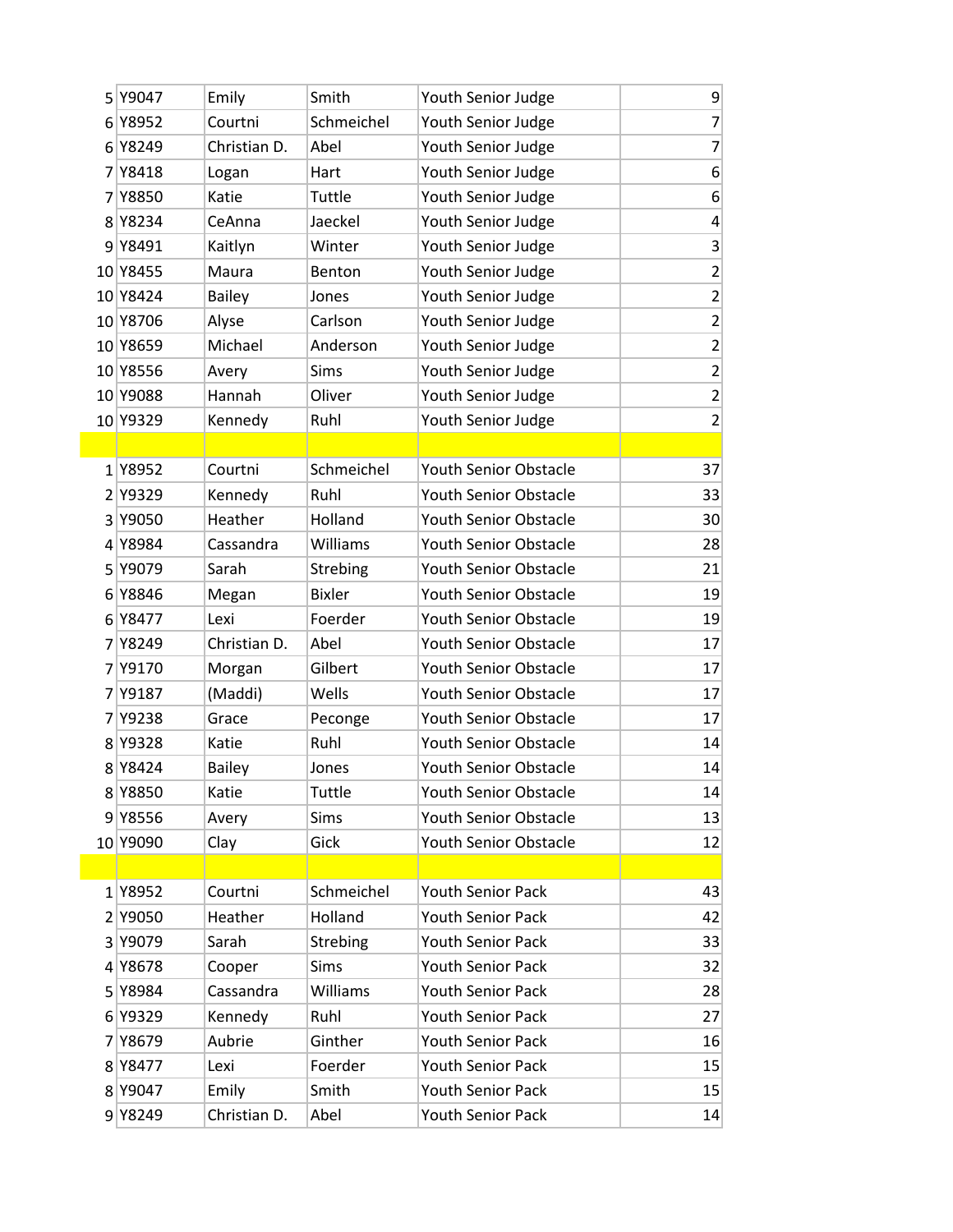| 5 Y9047  | Emily         | Smith         | Youth Senior Judge           | 9                       |
|----------|---------------|---------------|------------------------------|-------------------------|
| 6 Y8952  | Courtni       | Schmeichel    | Youth Senior Judge           | $\overline{7}$          |
| 6 Y8249  | Christian D.  | Abel          | Youth Senior Judge           | $\overline{7}$          |
| 7 Y 8418 | Logan         | Hart          | Youth Senior Judge           | 6                       |
| 7 Y8850  | Katie         | Tuttle        | Youth Senior Judge           | $6 \overline{6}$        |
| 8 Y8234  | CeAnna        | Jaeckel       | Youth Senior Judge           | $\overline{\mathbf{r}}$ |
| 9 Y8491  | Kaitlyn       | Winter        | Youth Senior Judge           | $\vert 3 \vert$         |
| 10 Y8455 | Maura         | Benton        | Youth Senior Judge           | $\overline{2}$          |
| 10 Y8424 | <b>Bailey</b> | Jones         | Youth Senior Judge           | $\overline{2}$          |
| 10 Y8706 | Alyse         | Carlson       | Youth Senior Judge           | $\mathbf{2}$            |
| 10 Y8659 | Michael       | Anderson      | Youth Senior Judge           | $\overline{2}$          |
| 10 Y8556 | Avery         | Sims          | Youth Senior Judge           | $\overline{2}$          |
| 10 Y9088 | Hannah        | Oliver        | Youth Senior Judge           | $\overline{2}$          |
| 10 Y9329 | Kennedy       | Ruhl          | Youth Senior Judge           | $\overline{2}$          |
|          |               |               |                              |                         |
| 1 Y8952  | Courtni       | Schmeichel    | <b>Youth Senior Obstacle</b> | 37                      |
| 2 Y9329  | Kennedy       | Ruhl          | <b>Youth Senior Obstacle</b> | 33                      |
| 3 Y9050  | Heather       | Holland       | Youth Senior Obstacle        | 30                      |
| 4 Y8984  | Cassandra     | Williams      | <b>Youth Senior Obstacle</b> | 28                      |
| 5 Y9079  | Sarah         | Strebing      | Youth Senior Obstacle        | 21                      |
| 6 Y8846  | Megan         | <b>Bixler</b> | Youth Senior Obstacle        | 19                      |
| 6 Y8477  | Lexi          | Foerder       | <b>Youth Senior Obstacle</b> | 19                      |
| 7 Y8249  | Christian D.  | Abel          | Youth Senior Obstacle        | 17                      |
| 7 Y9170  | Morgan        | Gilbert       | Youth Senior Obstacle        | 17                      |
| 7 Y9187  | (Maddi)       | Wells         | <b>Youth Senior Obstacle</b> | 17                      |
| 7 Y9238  | Grace         | Peconge       | Youth Senior Obstacle        | 17                      |
| 8 Y9328  | Katie         | Ruhl          | Youth Senior Obstacle        | 14                      |
| 8 Y 8424 | <b>Bailey</b> | Jones         | <b>Youth Senior Obstacle</b> | 14                      |
| 8 Y8850  | Katie         | Tuttle        | Youth Senior Obstacle        | 14                      |
| 9 Y8556  | Avery         | Sims          | Youth Senior Obstacle        | 13                      |
| 10 Y9090 | Clay          | Gick          | Youth Senior Obstacle        | 12                      |
|          |               |               |                              |                         |
| 1Y8952   | Courtni       | Schmeichel    | <b>Youth Senior Pack</b>     | 43                      |
| 2 Y9050  | Heather       | Holland       | <b>Youth Senior Pack</b>     | 42                      |
| 3 Y9079  | Sarah         | Strebing      | <b>Youth Senior Pack</b>     | 33                      |
| 4 Y8678  | Cooper        | Sims          | <b>Youth Senior Pack</b>     | 32                      |
| 5 Y8984  | Cassandra     | Williams      | <b>Youth Senior Pack</b>     | 28                      |
| 6 Y9329  | Kennedy       | Ruhl          | <b>Youth Senior Pack</b>     | 27                      |
| 7 Y8679  | Aubrie        | Ginther       | <b>Youth Senior Pack</b>     | 16                      |
| 8 Y 8477 | Lexi          | Foerder       | <b>Youth Senior Pack</b>     | 15                      |
| 8 Y9047  | Emily         | Smith         | <b>Youth Senior Pack</b>     | 15                      |
| 9 Y8249  | Christian D.  | Abel          | Youth Senior Pack            | 14                      |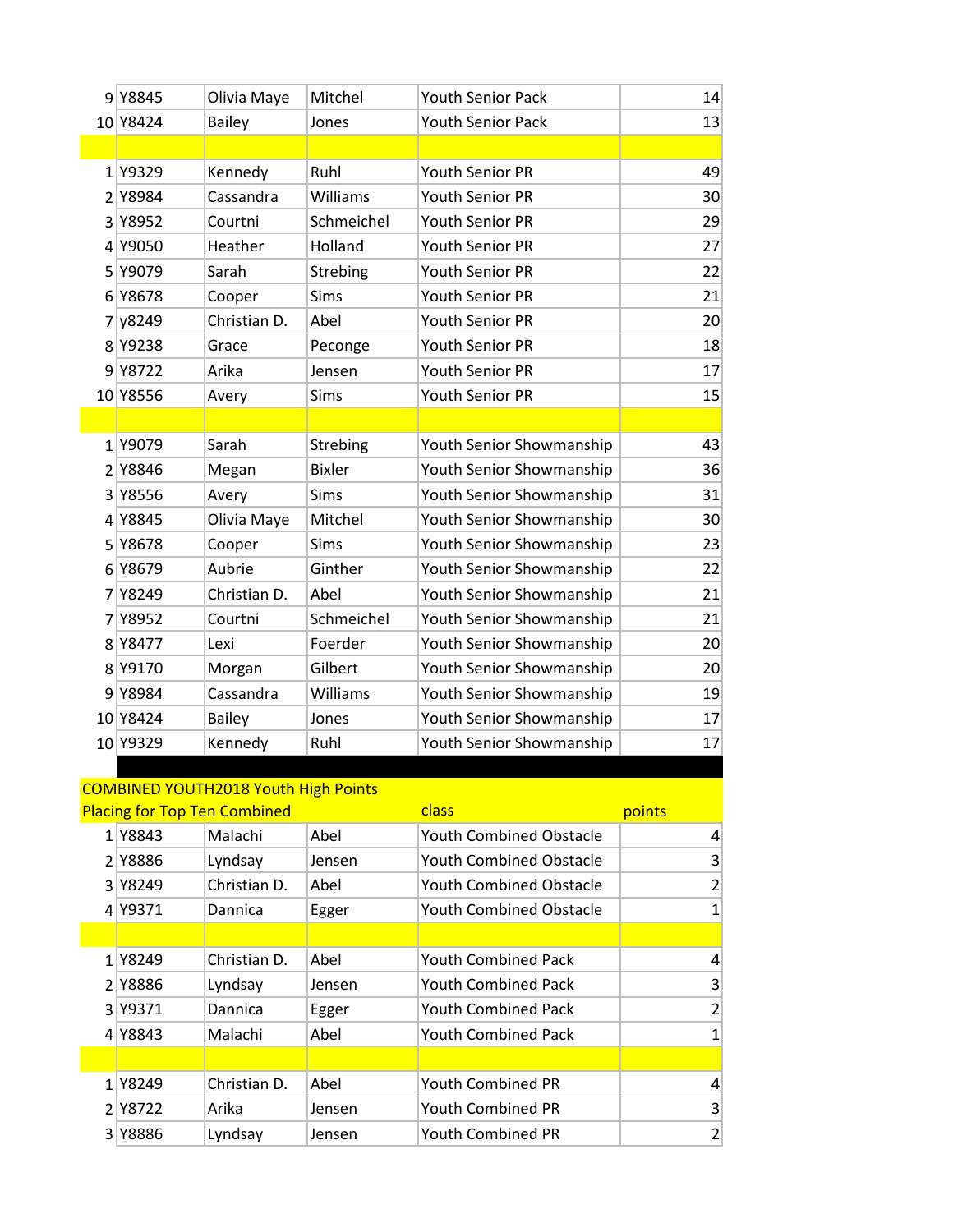|   | 9 Y8845  | Olivia Maye   | Mitchel       | <b>Youth Senior Pack</b> | 14              |
|---|----------|---------------|---------------|--------------------------|-----------------|
|   | 10 Y8424 | <b>Bailey</b> | Jones         | <b>Youth Senior Pack</b> | 13              |
|   |          |               |               |                          |                 |
|   | 1 Y9329  | Kennedy       | Ruhl          | <b>Youth Senior PR</b>   | 49              |
|   | 2 Y8984  | Cassandra     | Williams      | <b>Youth Senior PR</b>   | 30 <sup>2</sup> |
|   | 3 Y8952  | Courtni       | Schmeichel    | <b>Youth Senior PR</b>   | 29              |
| 4 | Y9050    | Heather       | Holland       | Youth Senior PR          | 27              |
| 5 | Y9079    | Sarah         | Strebing      | <b>Youth Senior PR</b>   | 22              |
|   | 6 Y8678  | Cooper        | <b>Sims</b>   | <b>Youth Senior PR</b>   | 21              |
| 7 | y8249    | Christian D.  | Abel          | <b>Youth Senior PR</b>   | 20              |
|   | 8 Y9238  | Grace         | Peconge       | <b>Youth Senior PR</b>   | 18              |
|   | 9 Y8722  | Arika         | Jensen        | <b>Youth Senior PR</b>   | 17              |
|   | 10 Y8556 | Avery         | Sims          | <b>Youth Senior PR</b>   | 15              |
|   |          |               |               |                          |                 |
|   | 1 Y9079  | Sarah         | Strebing      | Youth Senior Showmanship | 43              |
|   | 2 Y8846  | Megan         | <b>Bixler</b> | Youth Senior Showmanship | 36              |
| 3 | Y8556    | Avery         | <b>Sims</b>   | Youth Senior Showmanship | 31              |
| 4 | Y8845    | Olivia Maye   | Mitchel       | Youth Senior Showmanship | 30 <sup>2</sup> |
| 5 | Y8678    | Cooper        | <b>Sims</b>   | Youth Senior Showmanship | 23              |
| 6 | Y8679    | Aubrie        | Ginther       | Youth Senior Showmanship | 22              |
| 7 | Y8249    | Christian D.  | Abel          | Youth Senior Showmanship | 21              |
| 7 | Y8952    | Courtni       | Schmeichel    | Youth Senior Showmanship | 21              |
|   | 8 Y 8477 | Lexi          | Foerder       | Youth Senior Showmanship | 20              |
|   | 8 Y9170  | Morgan        | Gilbert       | Youth Senior Showmanship | 20              |
| 9 | Y8984    | Cassandra     | Williams      | Youth Senior Showmanship | 19              |
|   | 10 Y8424 | <b>Bailey</b> | Jones         | Youth Senior Showmanship | 17              |
|   | 10 Y9329 | Kennedy       | Ruhl          | Youth Senior Showmanship | 17              |

## COMBINED YOUTH2018 Youth High Points

| <b>Placing for Top Ten Combined</b> |             |              |        | class                          | points         |
|-------------------------------------|-------------|--------------|--------|--------------------------------|----------------|
|                                     | 1 Y8843     | Malachi      | Abel   | <b>Youth Combined Obstacle</b> | 4              |
|                                     | 2 Y8886     | Lyndsay      | Jensen | <b>Youth Combined Obstacle</b> | 3              |
|                                     | 3 Y 8 2 4 9 | Christian D. | Abel   | Youth Combined Obstacle        | $\overline{2}$ |
|                                     | 4 Y9371     | Dannica      | Egger  | Youth Combined Obstacle        | $\mathbf{1}$   |
|                                     |             |              |        |                                |                |
|                                     | 1 Y8249     | Christian D. | Abel   | <b>Youth Combined Pack</b>     | 4              |
|                                     | 2 Y8886     | Lyndsay      | Jensen | <b>Youth Combined Pack</b>     | 3              |
|                                     | 3 Y9371     | Dannica      | Egger  | <b>Youth Combined Pack</b>     | $\overline{2}$ |
|                                     | 4 Y8843     | Malachi      | Abel   | Youth Combined Pack            | $\mathbf{1}$   |
|                                     |             |              |        |                                |                |
|                                     | 1 Y8249     | Christian D. | Abel   | Youth Combined PR              | 4              |
|                                     | 2 Y 8 7 2 2 | Arika        | Jensen | <b>Youth Combined PR</b>       | 3              |
|                                     | 3 Y8886     | Lyndsay      | Jensen | Youth Combined PR              | $\overline{2}$ |